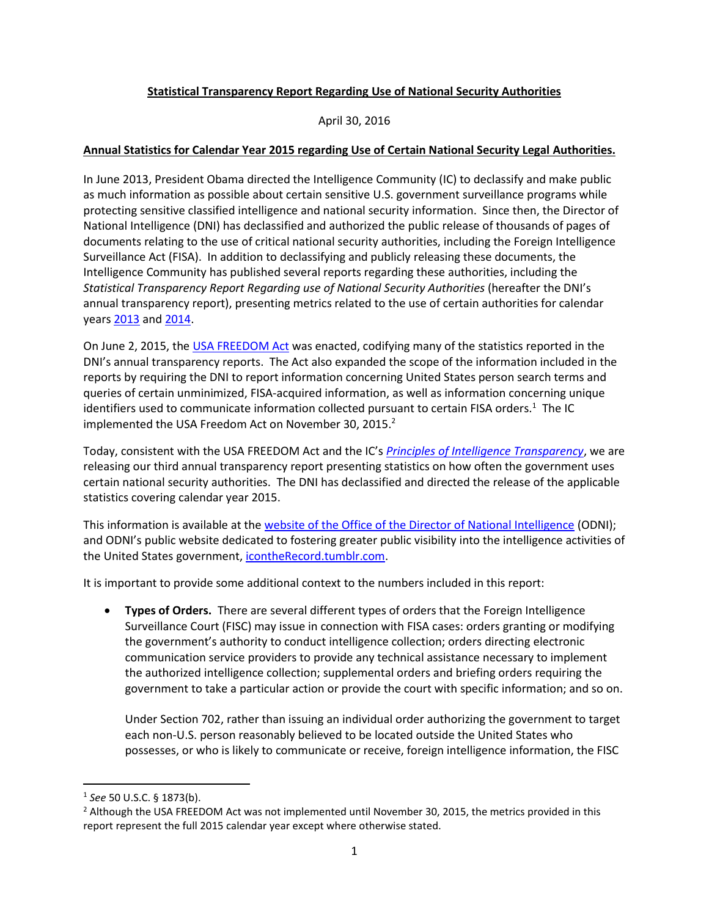## **Statistical Transparency Report Regarding Use of National Security Authorities**

April 30, 2016

## **Annual Statistics for Calendar Year 2015 regarding Use of Certain National Security Legal Authorities.**

In June 2013, President Obama directed the Intelligence Community (IC) to declassify and make public as much information as possible about certain sensitive U.S. government surveillance programs while protecting sensitive classified intelligence and national security information. Since then, the Director of National Intelligence (DNI) has declassified and authorized the public release of thousands of pages of documents relating to the use of critical national security authorities, including the Foreign Intelligence Surveillance Act (FISA). In addition to declassifying and publicly releasing these documents, the Intelligence Community has published several reports regarding these authorities, including the *Statistical Transparency Report Regarding use of National Security Authorities* (hereafter the DNI's annual transparency report), presenting metrics related to the use of certain authorities for calendar year[s 2013](http://icontherecord.tumblr.com/transparency/odni_transparencyreport_cy2013) an[d 2014.](http://icontherecord.tumblr.com/transparency/odni_transparencyreport_cy2014)

On June 2, 2015, the [USA FREEDOM Act](https://www.congress.gov/bill/114th-congress/house-bill/2048/text) was enacted, codifying many of the statistics reported in the DNI's annual transparency reports. The Act also expanded the scope of the information included in the reports by requiring the DNI to report information concerning United States person search terms and queries of certain unminimized, FISA-acquired information, as well as information concerning unique identifiers used to communicate information collected pursuant to certain FISA orders.<sup>1</sup> The IC implemented the USA Freedom Act on November 30, 2015.<sup>2</sup>

Today, consistent with the USA FREEDOM Act and the IC's *[Principles of Intelligence Transparency](https://www.dni.gov/index.php/intelligence-community/intelligence-transparency-principles)*, we are releasing our third annual transparency report presenting statistics on how often the government uses certain national security authorities. The DNI has declassified and directed the release of the applicable statistics covering calendar year 2015.

This information is available at the [website of the Office of the Director of National Intelligence](https://www.dni.gov/) (ODNI); and ODNI's public website dedicated to fostering greater public visibility into the intelligence activities of the United States government, [icontheRecord.tumblr.com.](https://icontherecord.tumblr.com/)

It is important to provide some additional context to the numbers included in this report:

 **Types of Orders.** There are several different types of orders that the Foreign Intelligence Surveillance Court (FISC) may issue in connection with FISA cases: orders granting or modifying the government's authority to conduct intelligence collection; orders directing electronic communication service providers to provide any technical assistance necessary to implement the authorized intelligence collection; supplemental orders and briefing orders requiring the government to take a particular action or provide the court with specific information; and so on.

Under Section 702, rather than issuing an individual order authorizing the government to target each non-U.S. person reasonably believed to be located outside the United States who possesses, or who is likely to communicate or receive, foreign intelligence information, the FISC

 $\overline{\phantom{a}}$ 

<sup>1</sup> *See* 50 U.S.C. § 1873(b).

<sup>&</sup>lt;sup>2</sup> Although the USA FREEDOM Act was not implemented until November 30, 2015, the metrics provided in this report represent the full 2015 calendar year except where otherwise stated.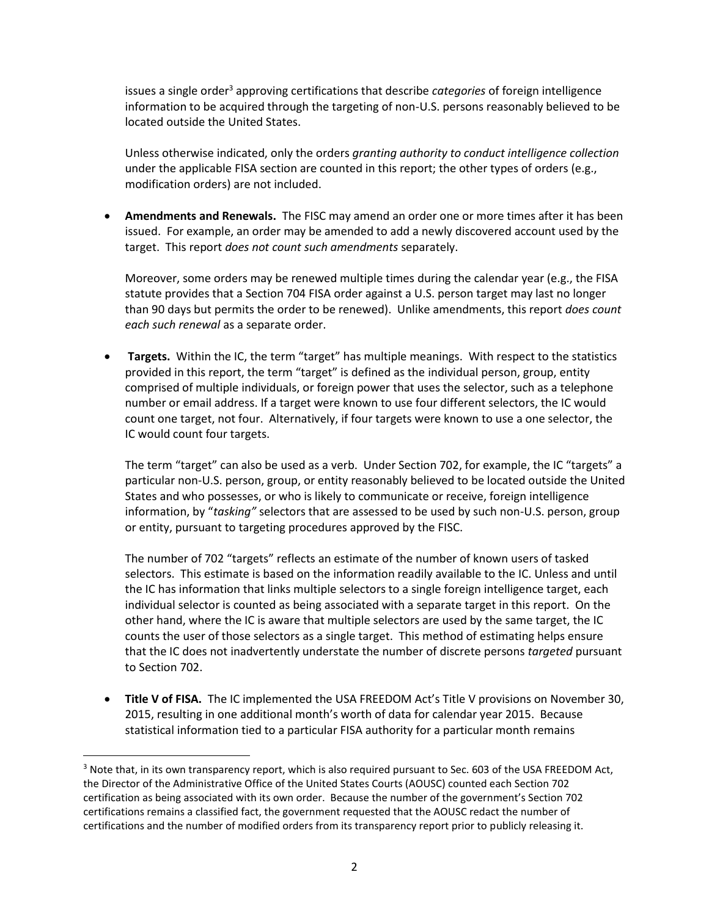issues a single order<sup>3</sup> approving certifications that describe *categories* of foreign intelligence information to be acquired through the targeting of non-U.S. persons reasonably believed to be located outside the United States.

Unless otherwise indicated, only the orders *granting authority to conduct intelligence collection* under the applicable FISA section are counted in this report; the other types of orders (e.g., modification orders) are not included.

 **Amendments and Renewals.** The FISC may amend an order one or more times after it has been issued. For example, an order may be amended to add a newly discovered account used by the target. This report *does not count such amendments* separately.

Moreover, some orders may be renewed multiple times during the calendar year (e.g., the FISA statute provides that a Section 704 FISA order against a U.S. person target may last no longer than 90 days but permits the order to be renewed). Unlike amendments, this report *does count each such renewal* as a separate order.

 **Targets.** Within the IC, the term "target" has multiple meanings. With respect to the statistics provided in this report, the term "target" is defined as the individual person, group, entity comprised of multiple individuals, or foreign power that uses the selector, such as a telephone number or email address. If a target were known to use four different selectors, the IC would count one target, not four. Alternatively, if four targets were known to use a one selector, the IC would count four targets.

The term "target" can also be used as a verb. Under Section 702, for example, the IC "targets" a particular non-U.S. person, group, or entity reasonably believed to be located outside the United States and who possesses, or who is likely to communicate or receive, foreign intelligence information, by "*tasking"* selectors that are assessed to be used by such non-U.S. person, group or entity, pursuant to targeting procedures approved by the FISC.

The number of 702 "targets" reflects an estimate of the number of known users of tasked selectors. This estimate is based on the information readily available to the IC. Unless and until the IC has information that links multiple selectors to a single foreign intelligence target, each individual selector is counted as being associated with a separate target in this report. On the other hand, where the IC is aware that multiple selectors are used by the same target, the IC counts the user of those selectors as a single target. This method of estimating helps ensure that the IC does not inadvertently understate the number of discrete persons *targeted* pursuant to Section 702.

 **Title V of FISA.** The IC implemented the USA FREEDOM Act's Title V provisions on November 30, 2015, resulting in one additional month's worth of data for calendar year 2015. Because statistical information tied to a particular FISA authority for a particular month remains

l

<sup>&</sup>lt;sup>3</sup> Note that, in its own transparency report, which is also required pursuant to Sec. 603 of the USA FREEDOM Act, the Director of the Administrative Office of the United States Courts (AOUSC) counted each Section 702 certification as being associated with its own order. Because the number of the government's Section 702 certifications remains a classified fact, the government requested that the AOUSC redact the number of certifications and the number of modified orders from its transparency report prior to publicly releasing it.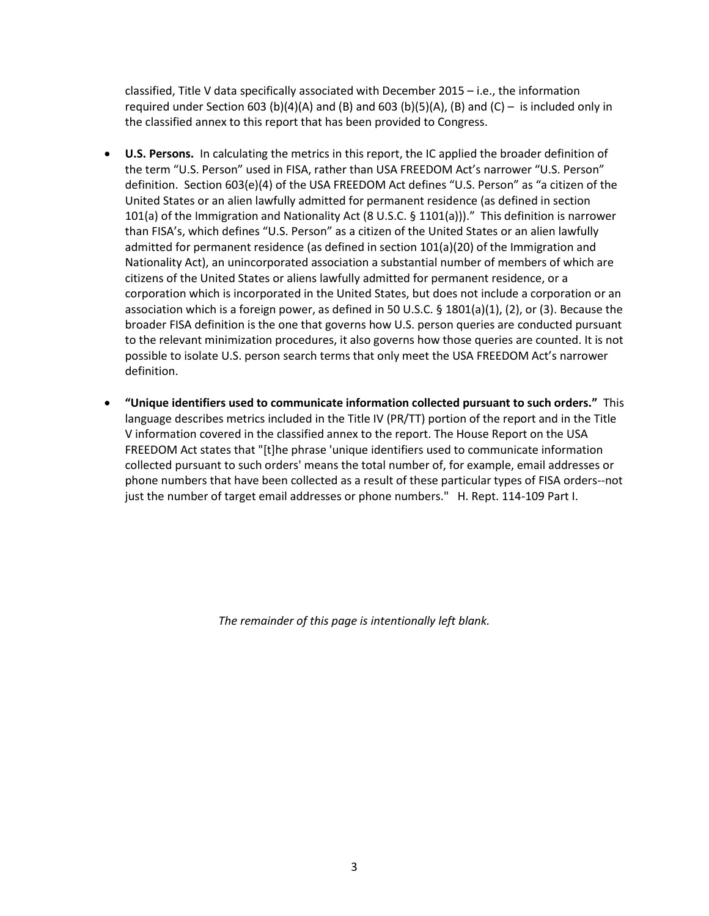classified, Title V data specifically associated with December 2015 – i.e., the information required under Section 603 (b)(4)(A) and (B) and 603 (b)(5)(A), (B) and (C) – is included only in the classified annex to this report that has been provided to Congress.

- **U.S. Persons.** In calculating the metrics in this report, the IC applied the broader definition of the term "U.S. Person" used in FISA, rather than USA FREEDOM Act's narrower "U.S. Person" definition. Section 603(e)(4) of the USA FREEDOM Act defines "U.S. Person" as "a citizen of the United States or an alien lawfully admitted for permanent residence (as defined in section 101(a) of the Immigration and Nationality Act (8 U.S.C. § 1101(a)))." This definition is narrower than FISA's, which defines "U.S. Person" as a citizen of the United States or an alien lawfully admitted for permanent residence (as defined in section 101(a)(20) of the Immigration and Nationality Act), an unincorporated association a substantial number of members of which are citizens of the United States or aliens lawfully admitted for permanent residence, or a corporation which is incorporated in the United States, but does not include a corporation or an association which is a foreign power, as defined in 50 U.S.C. § 1801(a)(1), (2), or (3). Because the broader FISA definition is the one that governs how U.S. person queries are conducted pursuant to the relevant minimization procedures, it also governs how those queries are counted. It is not possible to isolate U.S. person search terms that only meet the USA FREEDOM Act's narrower definition.
- **"Unique identifiers used to communicate information collected pursuant to such orders."** This language describes metrics included in the Title IV (PR/TT) portion of the report and in the Title V information covered in the classified annex to the report. The House Report on the USA FREEDOM Act states that "[t]he phrase 'unique identifiers used to communicate information collected pursuant to such orders' means the total number of, for example, email addresses or phone numbers that have been collected as a result of these particular types of FISA orders--not just the number of target email addresses or phone numbers." H. Rept. 114-109 Part I.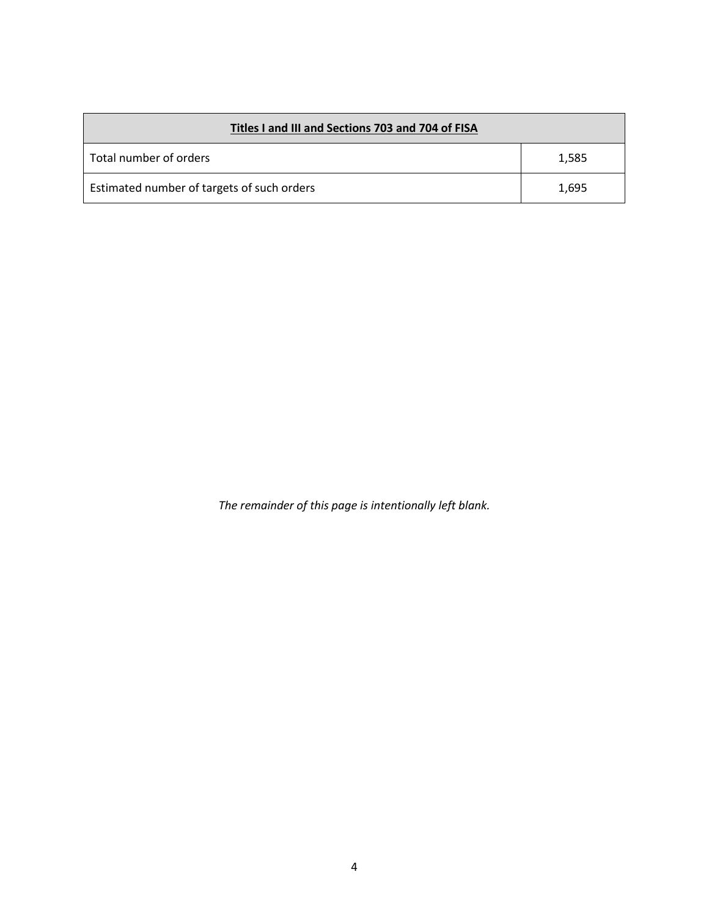| Titles I and III and Sections 703 and 704 of FISA |       |  |
|---------------------------------------------------|-------|--|
| Total number of orders                            | 1,585 |  |
| Estimated number of targets of such orders        | 1.695 |  |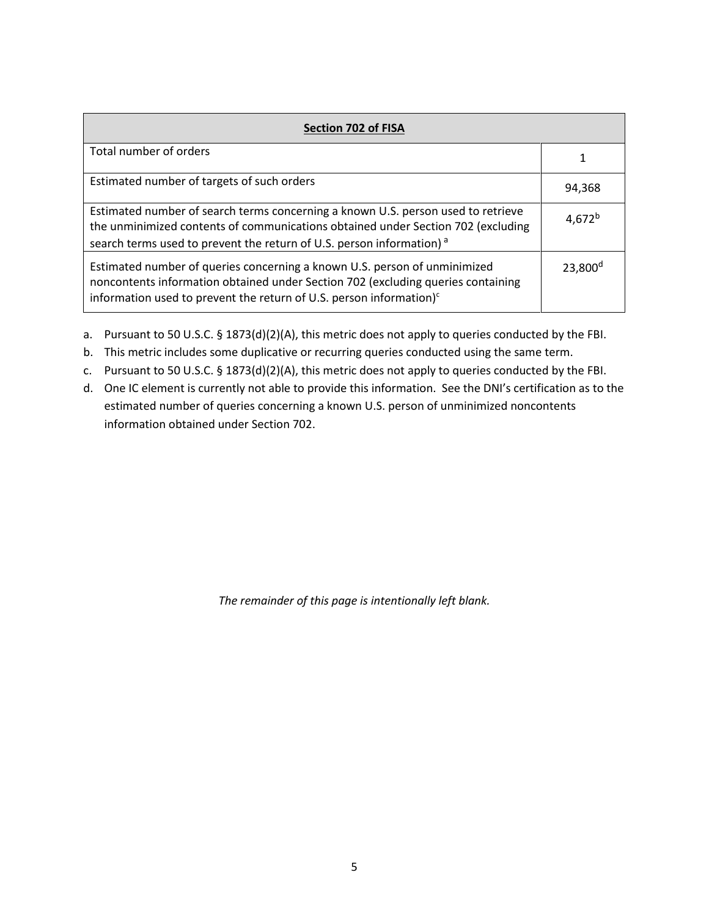| Section 702 of FISA                                                                                                                                                                                                                                      |                  |  |
|----------------------------------------------------------------------------------------------------------------------------------------------------------------------------------------------------------------------------------------------------------|------------------|--|
| Total number of orders                                                                                                                                                                                                                                   |                  |  |
| Estimated number of targets of such orders                                                                                                                                                                                                               | 94,368           |  |
| Estimated number of search terms concerning a known U.S. person used to retrieve<br>the unminimized contents of communications obtained under Section 702 (excluding<br>search terms used to prevent the return of U.S. person information) <sup>a</sup> | $4,672^{b}$      |  |
| Estimated number of queries concerning a known U.S. person of unminimized<br>noncontents information obtained under Section 702 (excluding queries containing<br>information used to prevent the return of U.S. person information) $c$                  | $23,800^{\circ}$ |  |

a. Pursuant to 50 U.S.C. § 1873(d)(2)(A), this metric does not apply to queries conducted by the FBI.

- b. This metric includes some duplicative or recurring queries conducted using the same term.
- c. Pursuant to 50 U.S.C. § 1873(d)(2)(A), this metric does not apply to queries conducted by the FBI.
- d. One IC element is currently not able to provide this information. See the DNI's certification as to the estimated number of queries concerning a known U.S. person of unminimized noncontents information obtained under Section 702.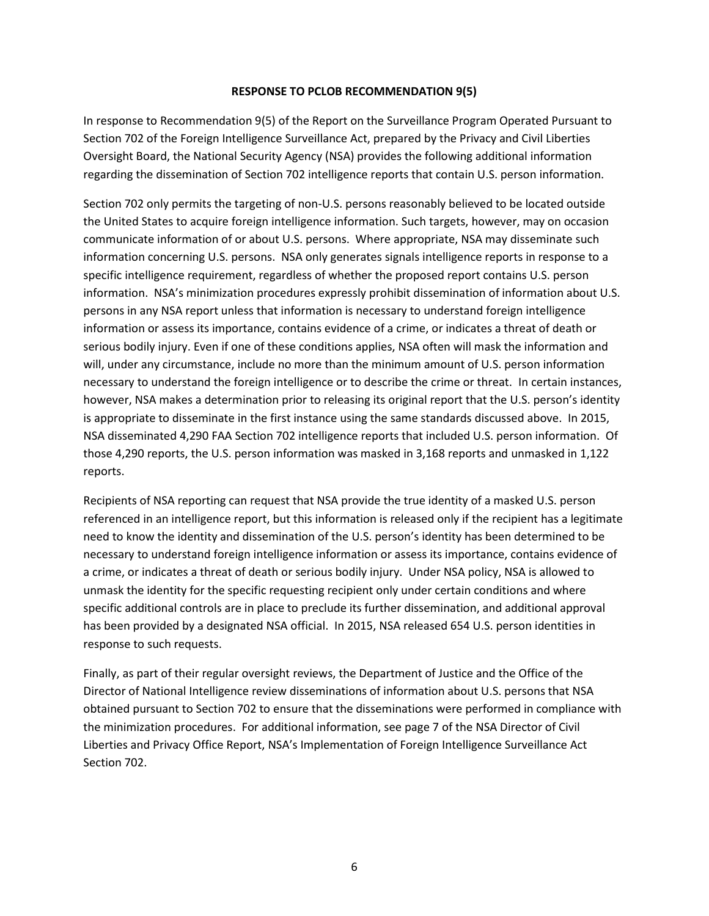## **RESPONSE TO PCLOB RECOMMENDATION 9(5)**

In response to Recommendation 9(5) of the Report on the Surveillance Program Operated Pursuant to Section 702 of the Foreign Intelligence Surveillance Act, prepared by the Privacy and Civil Liberties Oversight Board, the National Security Agency (NSA) provides the following additional information regarding the dissemination of Section 702 intelligence reports that contain U.S. person information.

Section 702 only permits the targeting of non-U.S. persons reasonably believed to be located outside the United States to acquire foreign intelligence information. Such targets, however, may on occasion communicate information of or about U.S. persons. Where appropriate, NSA may disseminate such information concerning U.S. persons. NSA only generates signals intelligence reports in response to a specific intelligence requirement, regardless of whether the proposed report contains U.S. person information. NSA's minimization procedures expressly prohibit dissemination of information about U.S. persons in any NSA report unless that information is necessary to understand foreign intelligence information or assess its importance, contains evidence of a crime, or indicates a threat of death or serious bodily injury. Even if one of these conditions applies, NSA often will mask the information and will, under any circumstance, include no more than the minimum amount of U.S. person information necessary to understand the foreign intelligence or to describe the crime or threat. In certain instances, however, NSA makes a determination prior to releasing its original report that the U.S. person's identity is appropriate to disseminate in the first instance using the same standards discussed above. In 2015, NSA disseminated 4,290 FAA Section 702 intelligence reports that included U.S. person information. Of those 4,290 reports, the U.S. person information was masked in 3,168 reports and unmasked in 1,122 reports.

Recipients of NSA reporting can request that NSA provide the true identity of a masked U.S. person referenced in an intelligence report, but this information is released only if the recipient has a legitimate need to know the identity and dissemination of the U.S. person's identity has been determined to be necessary to understand foreign intelligence information or assess its importance, contains evidence of a crime, or indicates a threat of death or serious bodily injury. Under NSA policy, NSA is allowed to unmask the identity for the specific requesting recipient only under certain conditions and where specific additional controls are in place to preclude its further dissemination, and additional approval has been provided by a designated NSA official. In 2015, NSA released 654 U.S. person identities in response to such requests.

Finally, as part of their regular oversight reviews, the Department of Justice and the Office of the Director of National Intelligence review disseminations of information about U.S. persons that NSA obtained pursuant to Section 702 to ensure that the disseminations were performed in compliance with the minimization procedures. For additional information, see page 7 of the NSA Director of Civil Liberties and Privacy Office Report, NSA's Implementation of Foreign Intelligence Surveillance Act Section 702.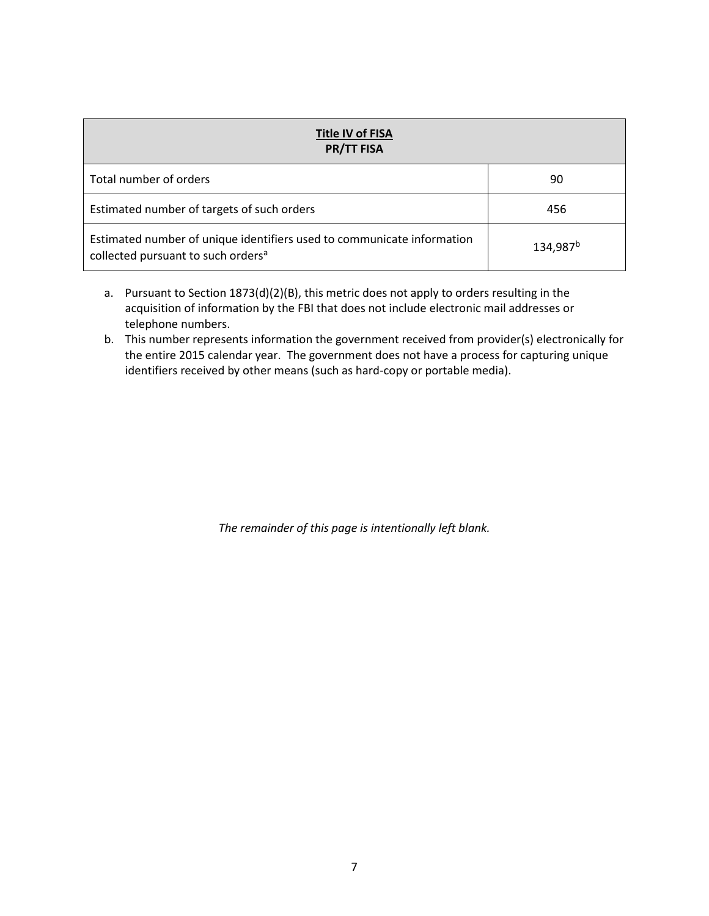| <b>Title IV of FISA</b><br><b>PR/TT FISA</b>                                                                             |                      |  |
|--------------------------------------------------------------------------------------------------------------------------|----------------------|--|
| Total number of orders                                                                                                   | 90                   |  |
| Estimated number of targets of such orders                                                                               | 456                  |  |
| Estimated number of unique identifiers used to communicate information<br>collected pursuant to such orders <sup>a</sup> | 134,987 <sup>b</sup> |  |

- a. Pursuant to Section 1873(d)(2)(B), this metric does not apply to orders resulting in the acquisition of information by the FBI that does not include electronic mail addresses or telephone numbers.
- b. This number represents information the government received from provider(s) electronically for the entire 2015 calendar year. The government does not have a process for capturing unique identifiers received by other means (such as hard-copy or portable media).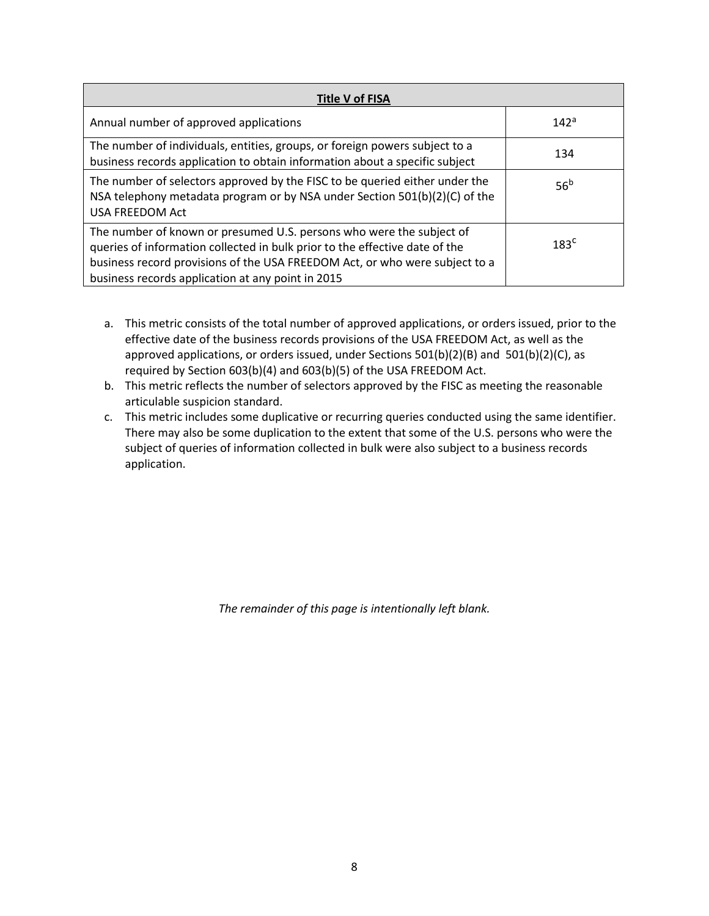| <b>Title V of FISA</b>                                                                                                                                                                                                                                                                  |                  |  |
|-----------------------------------------------------------------------------------------------------------------------------------------------------------------------------------------------------------------------------------------------------------------------------------------|------------------|--|
| Annual number of approved applications                                                                                                                                                                                                                                                  | 142 <sup>a</sup> |  |
| The number of individuals, entities, groups, or foreign powers subject to a<br>business records application to obtain information about a specific subject                                                                                                                              | 134              |  |
| The number of selectors approved by the FISC to be queried either under the<br>NSA telephony metadata program or by NSA under Section 501(b)(2)(C) of the<br><b>USA FREEDOM Act</b>                                                                                                     | 56 <sup>b</sup>  |  |
| The number of known or presumed U.S. persons who were the subject of<br>queries of information collected in bulk prior to the effective date of the<br>business record provisions of the USA FREEDOM Act, or who were subject to a<br>business records application at any point in 2015 | $183^{\circ}$    |  |

- a. This metric consists of the total number of approved applications, or orders issued, prior to the effective date of the business records provisions of the USA FREEDOM Act, as well as the approved applications, or orders issued, under Sections 501(b)(2)(B) and 501(b)(2)(C), as required by Section 603(b)(4) and 603(b)(5) of the USA FREEDOM Act.
- b. This metric reflects the number of selectors approved by the FISC as meeting the reasonable articulable suspicion standard.
- c. This metric includes some duplicative or recurring queries conducted using the same identifier. There may also be some duplication to the extent that some of the U.S. persons who were the subject of queries of information collected in bulk were also subject to a business records application.